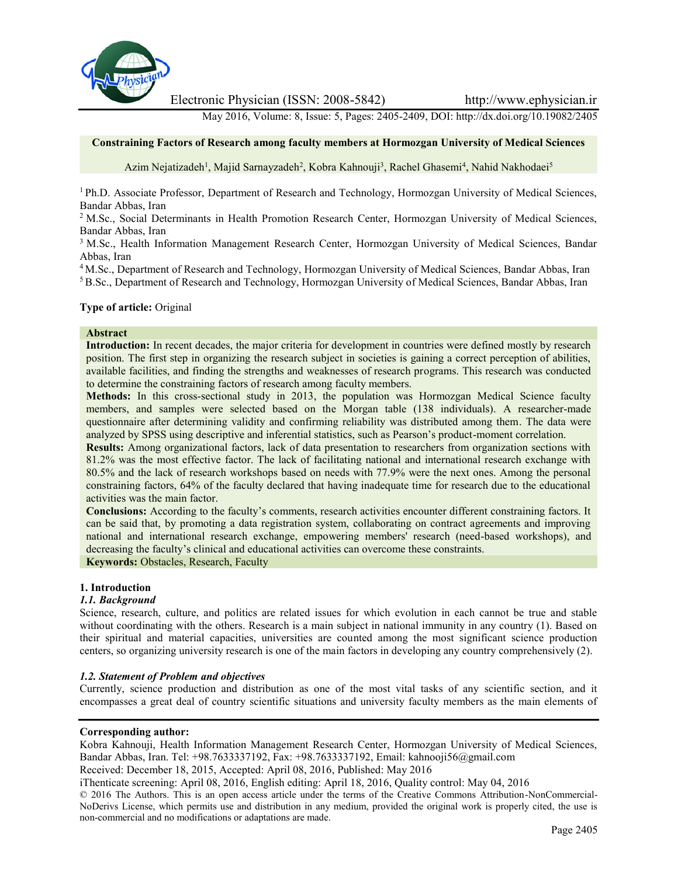

Electronic Physician (ISSN: 2008-5842) http://www.ephysician.ir

May 2016, Volume: 8, Issue: 5, Pages: 2405-2409, DOI: http://dx.doi.org/10.19082/2405

### **Constraining Factors of Research among faculty members at Hormozgan University of Medical Sciences**

Azim Nejatizadeh<sup>1</sup>, Majid Sarnayzadeh<sup>2</sup>, Kobra Kahnouji<sup>3</sup>, Rachel Ghasemi<sup>4</sup>, Nahid Nakhodaei<sup>5</sup>

<sup>1</sup> Ph.D. Associate Professor, Department of Research and Technology, Hormozgan University of Medical Sciences, Bandar Abbas, Iran

<sup>2</sup> M.Sc., Social Determinants in Health Promotion Research Center, Hormozgan University of Medical Sciences, Bandar Abbas, Iran

<sup>3</sup> M.Sc., Health Information Management Research Center, Hormozgan University of Medical Sciences, Bandar Abbas, Iran

<sup>4</sup> M.Sc., Department of Research and Technology, Hormozgan University of Medical Sciences, Bandar Abbas, Iran

<sup>5</sup> B.Sc., Department of Research and Technology, Hormozgan University of Medical Sciences, Bandar Abbas, Iran

### **Type of article:** Original

#### **Abstract**

**Introduction:** In recent decades, the major criteria for development in countries were defined mostly by research position. The first step in organizing the research subject in societies is gaining a correct perception of abilities, available facilities, and finding the strengths and weaknesses of research programs. This research was conducted to determine the constraining factors of research among faculty members.

**Methods:** In this cross-sectional study in 2013, the population was Hormozgan Medical Science faculty members, and samples were selected based on the Morgan table (138 individuals). A researcher-made questionnaire after determining validity and confirming reliability was distributed among them. The data were analyzed by SPSS using descriptive and inferential statistics, such as Pearson's product-moment correlation.

**Results:** Among organizational factors, lack of data presentation to researchers from organization sections with 81.2% was the most effective factor. The lack of facilitating national and international research exchange with 80.5% and the lack of research workshops based on needs with 77.9% were the next ones. Among the personal constraining factors, 64% of the faculty declared that having inadequate time for research due to the educational activities was the main factor.

**Conclusions:** According to the faculty's comments, research activities encounter different constraining factors. It can be said that, by promoting a data registration system, collaborating on contract agreements and improving national and international research exchange, empowering members' research (need-based workshops), and decreasing the faculty's clinical and educational activities can overcome these constraints.

**Keywords:** Obstacles, Research, Faculty

### **1. Introduction**

#### *1.1. Background*

Science, research, culture, and politics are related issues for which evolution in each cannot be true and stable without coordinating with the others. Research is a main subject in national immunity in any country (1). Based on their spiritual and material capacities, universities are counted among the most significant science production centers, so organizing university research is one of the main factors in developing any country comprehensively (2).

#### *1.2. Statement of Problem and objectives*

Currently, science production and distribution as one of the most vital tasks of any scientific section, and it encompasses a great deal of country scientific situations and university faculty members as the main elements of

#### **Corresponding author:**

Kobra Kahnouji, Health Information Management Research Center, Hormozgan University of Medical Sciences, Bandar Abbas, Iran. Tel: +98.7633337192, Fax: +98.7633337192, Email: kahnooji56@gmail.com

Received: December 18, 2015, Accepted: April 08, 2016, Published: May 2016

iThenticate screening: April 08, 2016, English editing: April 18, 2016, Quality control: May 04, 2016

© 2016 The Authors. This is an open access article under the terms of the Creative Commons Attribution-NonCommercial- NoDerivs License, which permits use and distribution in any medium, provided the original work is properly cited, the use is non-commercial and no modifications or adaptations are made.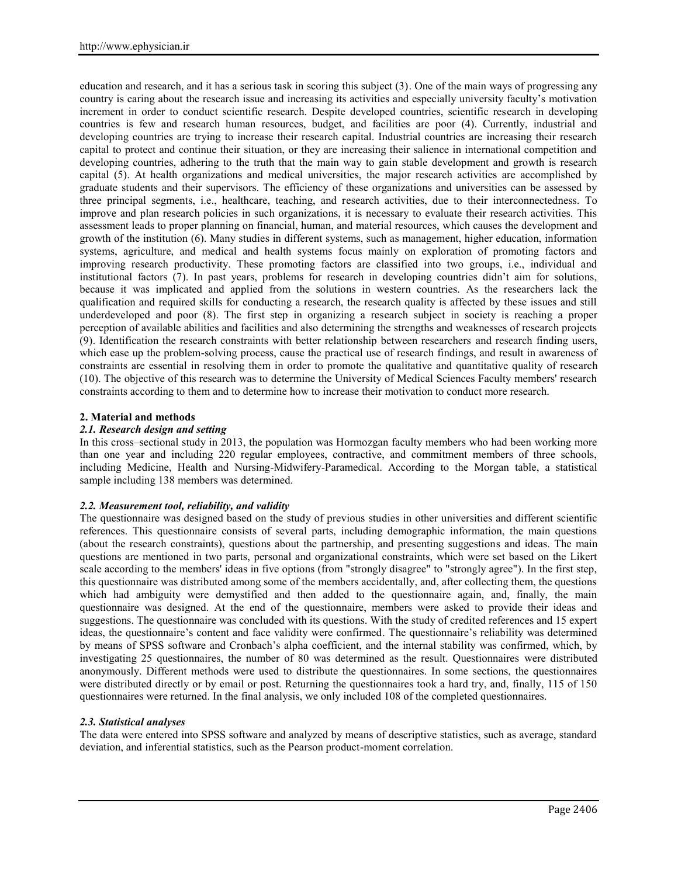education and research, and it has a serious task in scoring this subject (3). One of the main ways of progressing any country is caring about the research issue and increasing its activities and especially university faculty's motivation increment in order to conduct scientific research. Despite developed countries, scientific research in developing countries is few and research human resources, budget, and facilities are poor (4). Currently, industrial and developing countries are trying to increase their research capital. Industrial countries are increasing their research capital to protect and continue their situation, or they are increasing their salience in international competition and developing countries, adhering to the truth that the main way to gain stable development and growth is research capital (5). At health organizations and medical universities, the major research activities are accomplished by graduate students and their supervisors. The efficiency of these organizations and universities can be assessed by three principal segments, i.e., healthcare, teaching, and research activities, due to their interconnectedness. To improve and plan research policies in such organizations, it is necessary to evaluate their research activities. This assessment leads to proper planning on financial, human, and material resources, which causes the development and growth of the institution (6). Many studies in different systems, such as management, higher education, information systems, agriculture, and medical and health systems focus mainly on exploration of promoting factors and improving research productivity. These promoting factors are classified into two groups, i.e., individual and institutional factors (7). In past years, problems for research in developing countries didn't aim for solutions, because it was implicated and applied from the solutions in western countries. As the researchers lack the qualification and required skills for conducting a research, the research quality is affected by these issues and still underdeveloped and poor (8). The first step in organizing a research subject in society is reaching a proper perception of available abilities and facilities and also determining the strengths and weaknesses of research projects (9). Identification the research constraints with better relationship between researchers and research finding users, which ease up the problem-solving process, cause the practical use of research findings, and result in awareness of constraints are essential in resolving them in order to promote the qualitative and quantitative quality of research (10). The objective of this research was to determine the University of Medical Sciences Faculty members' research constraints according to them and to determine how to increase their motivation to conduct more research.

# **2. Material and methods**

# *2.1. Research design and setting*

In this cross–sectional study in 2013, the population was Hormozgan faculty members who had been working more than one year and including 220 regular employees, contractive, and commitment members of three schools, including Medicine, Health and Nursing-Midwifery-Paramedical. According to the Morgan table, a statistical sample including 138 members was determined.

## *2.2. Measurement tool, reliability, and validity*

The questionnaire was designed based on the study of previous studies in other universities and different scientific references. This questionnaire consists of several parts, including demographic information, the main questions (about the research constraints), questions about the partnership, and presenting suggestions and ideas. The main questions are mentioned in two parts, personal and organizational constraints, which were set based on the Likert scale according to the members' ideas in five options (from "strongly disagree" to "strongly agree"). In the first step, this questionnaire was distributed among some of the members accidentally, and, after collecting them, the questions which had ambiguity were demystified and then added to the questionnaire again, and, finally, the main questionnaire was designed. At the end of the questionnaire, members were asked to provide their ideas and suggestions. The questionnaire was concluded with its questions. With the study of credited references and 15 expert ideas, the questionnaire's content and face validity were confirmed. The questionnaire's reliability was determined by means of SPSS software and Cronbach's alpha coefficient, and the internal stability was confirmed, which, by investigating 25 questionnaires, the number of 80 was determined as the result. Questionnaires were distributed anonymously. Different methods were used to distribute the questionnaires. In some sections, the questionnaires were distributed directly or by email or post. Returning the questionnaires took a hard try, and, finally, 115 of 150 questionnaires were returned. In the final analysis, we only included 108 of the completed questionnaires.

## *2.3. Statistical analyses*

The data were entered into SPSS software and analyzed by means of descriptive statistics, such as average, standard deviation, and inferential statistics, such as the Pearson product-moment correlation.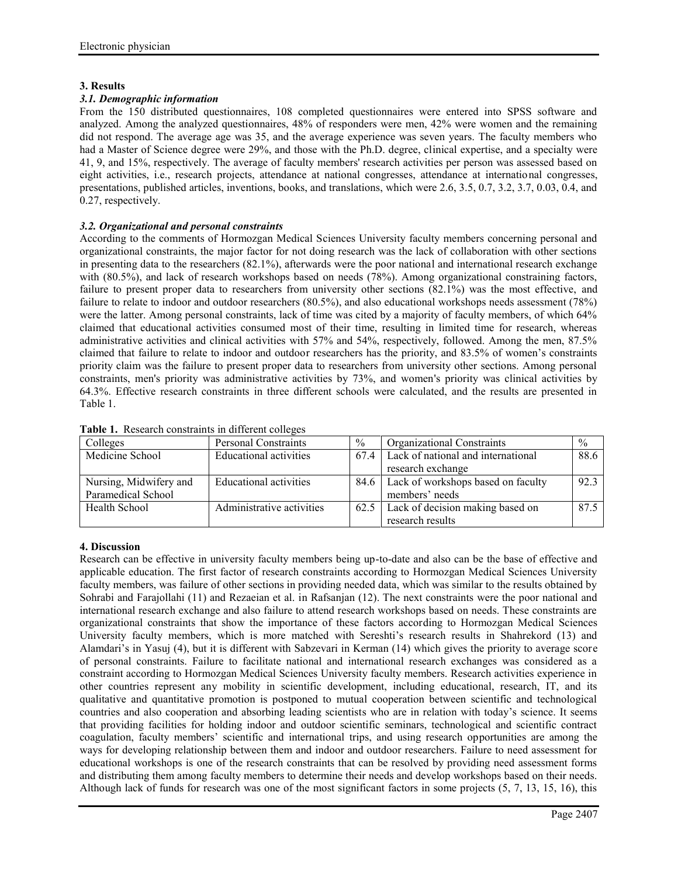# **3. Results**

# *3.1. Demographic information*

From the 150 distributed questionnaires, 108 completed questionnaires were entered into SPSS software and analyzed. Among the analyzed questionnaires, 48% of responders were men, 42% were women and the remaining did not respond. The average age was 35, and the average experience was seven years. The faculty members who had a Master of Science degree were 29%, and those with the Ph.D. degree, clinical expertise, and a specialty were 41, 9, and 15%, respectively. The average of faculty members' research activities per person was assessed based on eight activities, i.e., research projects, attendance at national congresses, attendance at international congresses, presentations, published articles, inventions, books, and translations, which were 2.6, 3.5, 0.7, 3.2, 3.7, 0.03, 0.4, and 0.27, respectively.

# *3.2. Organizational and personal constraints*

According to the comments of Hormozgan Medical Sciences University faculty members concerning personal and organizational constraints, the major factor for not doing research was the lack of collaboration with other sections in presenting data to the researchers (82.1%), afterwards were the poor national and international research exchange with (80.5%), and lack of research workshops based on needs (78%). Among organizational constraining factors, failure to present proper data to researchers from university other sections (82.1%) was the most effective, and failure to relate to indoor and outdoor researchers (80.5%), and also educational workshops needs assessment (78%) were the latter. Among personal constraints, lack of time was cited by a majority of faculty members, of which 64% claimed that educational activities consumed most of their time, resulting in limited time for research, whereas administrative activities and clinical activities with 57% and 54%, respectively, followed. Among the men, 87.5% claimed that failure to relate to indoor and outdoor researchers has the priority, and 83.5% of women's constraints priority claim was the failure to present proper data to researchers from university other sections. Among personal constraints, men's priority was administrative activities by 73%, and women's priority was clinical activities by 64.3%. Effective research constraints in three different schools were calculated, and the results are presented in Table 1.

| Colleges               | Personal Constraints          | $\frac{0}{0}$ | <b>Organizational Constraints</b>       | $\%$ |
|------------------------|-------------------------------|---------------|-----------------------------------------|------|
| Medicine School        | <b>Educational activities</b> | 67.4          | Lack of national and international      | 88.6 |
|                        |                               |               | research exchange                       |      |
| Nursing, Midwifery and | Educational activities        |               | 84.6 Lack of workshops based on faculty | 92.3 |
| Paramedical School     |                               |               | members' needs                          |      |
| Health School          | Administrative activities     |               | 62.5 Lack of decision making based on   | 87.5 |
|                        |                               |               | research results                        |      |

**Table 1.** Research constraints in different colleges

# **4. Discussion**

Research can be effective in university faculty members being up-to-date and also can be the base of effective and applicable education. The first factor of research constraints according to Hormozgan Medical Sciences University faculty members, was failure of other sections in providing needed data, which was similar to the results obtained by Sohrabi and Farajollahi (11) and Rezaeian et al. in Rafsanjan (12). The next constraints were the poor national and international research exchange and also failure to attend research workshops based on needs. These constraints are organizational constraints that show the importance of these factors according to Hormozgan Medical Sciences University faculty members, which is more matched with Sereshti's research results in Shahrekord (13) and Alamdari's in Yasuj (4), but it is different with Sabzevari in Kerman (14) which gives the priority to average score of personal constraints. Failure to facilitate national and international research exchanges was considered as a constraint according to Hormozgan Medical Sciences University faculty members. Research activities experience in other countries represent any mobility in scientific development, including educational, research, IT, and its qualitative and quantitative promotion is postponed to mutual cooperation between scientific and technological countries and also cooperation and absorbing leading scientists who are in relation with today's science. It seems that providing facilities for holding indoor and outdoor scientific seminars, technological and scientific contract coagulation, faculty members' scientific and international trips, and using research opportunities are among the ways for developing relationship between them and indoor and outdoor researchers. Failure to need assessment for educational workshops is one of the research constraints that can be resolved by providing need assessment forms and distributing them among faculty members to determine their needs and develop workshops based on their needs. Although lack of funds for research was one of the most significant factors in some projects (5, 7, 13, 15, 16), this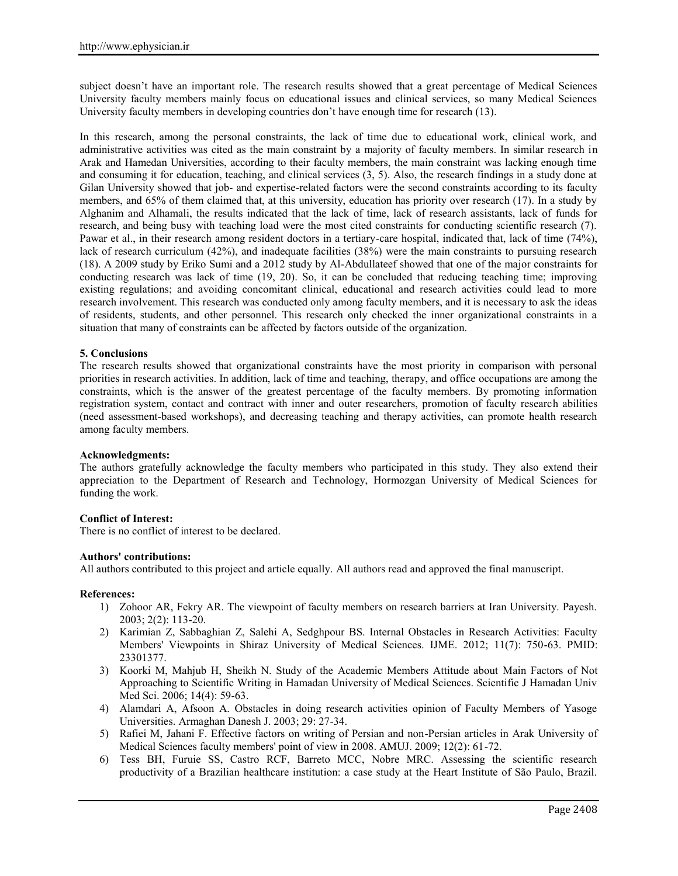subject doesn't have an important role. The research results showed that a great percentage of Medical Sciences University faculty members mainly focus on educational issues and clinical services, so many Medical Sciences University faculty members in developing countries don't have enough time for research (13).

In this research, among the personal constraints, the lack of time due to educational work, clinical work, and administrative activities was cited as the main constraint by a majority of faculty members. In similar research in Arak and Hamedan Universities, according to their faculty members, the main constraint was lacking enough time and consuming it for education, teaching, and clinical services (3, 5). Also, the research findings in a study done at Gilan University showed that job- and expertise-related factors were the second constraints according to its faculty members, and 65% of them claimed that, at this university, education has priority over research (17). In a study by Alghanim and Alhamali, the results indicated that the lack of time, lack of research assistants, lack of funds for research, and being busy with teaching load were the most cited constraints for conducting scientific research (7). Pawar et al., in their research among resident doctors in a tertiary-care hospital, indicated that, lack of time (74%), lack of research curriculum (42%), and inadequate facilities (38%) were the main constraints to pursuing research (18). A 2009 study by Eriko Sumi and a 2012 study by Al-Abdullateef showed that one of the major constraints for conducting research was lack of time (19, 20). So, it can be concluded that reducing teaching time; improving existing regulations; and avoiding concomitant clinical, educational and research activities could lead to more research involvement. This research was conducted only among faculty members, and it is necessary to ask the ideas of residents, students, and other personnel. This research only checked the inner organizational constraints in a situation that many of constraints can be affected by factors outside of the organization.

# **5. Conclusions**

The research results showed that organizational constraints have the most priority in comparison with personal priorities in research activities. In addition, lack of time and teaching, therapy, and office occupations are among the constraints, which is the answer of the greatest percentage of the faculty members. By promoting information registration system, contact and contract with inner and outer researchers, promotion of faculty research abilities (need assessment-based workshops), and decreasing teaching and therapy activities, can promote health research among faculty members.

## **Acknowledgments:**

The authors gratefully acknowledge the faculty members who participated in this study. They also extend their appreciation to the Department of Research and Technology, Hormozgan University of Medical Sciences for funding the work.

## **Conflict of Interest:**

There is no conflict of interest to be declared.

## **Authors' contributions:**

All authors contributed to this project and article equally. All authors read and approved the final manuscript.

### **References:**

- 1) Zohoor AR, Fekry AR. The viewpoint of faculty members on research barriers at Iran University. Payesh. 2003; 2(2): 113-20.
- 2) Karimian Z, Sabbaghian Z, Salehi A, Sedghpour BS. Internal Obstacles in Research Activities: Faculty Members' Viewpoints in Shiraz University of Medical Sciences. IJME. 2012; 11(7): 750-63. PMID: 23301377.
- 3) Koorki M, Mahjub H, Sheikh N. Study of the Academic Members Attitude about Main Factors of Not Approaching to Scientific Writing in Hamadan University of Medical Sciences. Scientific J Hamadan Univ Med Sci. 2006; 14(4): 59-63.
- 4) Alamdari A, Afsoon A. Obstacles in doing research activities opinion of Faculty Members of Yasoge Universities. Armaghan Danesh J. 2003; 29: 27-34.
- 5) Rafiei M, Jahani F. Effective factors on writing of Persian and non-Persian articles in Arak University of Medical Sciences faculty members' point of view in 2008. AMUJ. 2009; 12(2): 61-72.
- 6) Tess BH, Furuie SS, Castro RCF, Barreto MCC, Nobre MRC. Assessing the scientific research productivity of a Brazilian healthcare institution: a case study at the Heart Institute of São Paulo, Brazil.